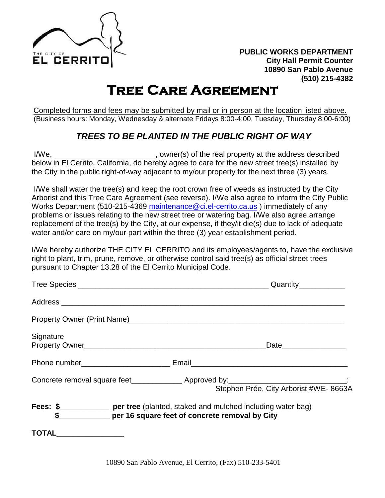

## **Tree Care Agreement**

Completed forms and fees may be submitted by mail or in person at the location listed above. (Business hours: Monday, Wednesday & alternate Fridays 8:00-4:00, Tuesday, Thursday 8:00-6:00)

## *TREES TO BE PLANTED IN THE PUBLIC RIGHT OF WAY*

I/We, \_\_\_\_\_\_\_\_\_\_\_\_\_\_\_\_\_\_\_\_\_\_\_\_, owner(s) of the real property at the address described below in El Cerrito, California, do hereby agree to care for the new street tree(s) installed by the City in the public right-of-way adjacent to my/our property for the next three (3) years.

I/We shall water the tree(s) and keep the root crown free of weeds as instructed by the City Arborist and this Tree Care Agreement (see reverse). I/We also agree to inform the City Public Works Department (510-215-4369 maintenance @ci.el-cerrito.ca.us) immediately of any problems or issues relating to the new street tree or watering bag. I/We also agree arrange replacement of the tree(s) by the City, at our expense, if they/it die(s) due to lack of adequate water and/or care on my/our part within the three (3) year establishment period.

I/We hereby authorize THE CITY EL CERRITO and its employees/agents to, have the exclusive right to plant, trim, prune, remove, or otherwise control said tree(s) as official street trees pursuant to Chapter 13.28 of the El Cerrito Municipal Code.

|              | Quantity <sub>______________</sub>                                                                                                   |
|--------------|--------------------------------------------------------------------------------------------------------------------------------------|
|              |                                                                                                                                      |
|              |                                                                                                                                      |
| Signature    | Date__________________                                                                                                               |
|              |                                                                                                                                      |
|              | Concrete removal square feet________________ Approved by:________________________________:<br>Stephen Prée, City Arborist #WE- 8663A |
|              | <b>Fees: \$</b> _________________ per tree (planted, staked and mulched including water bag)                                         |
| <b>TOTAL</b> |                                                                                                                                      |